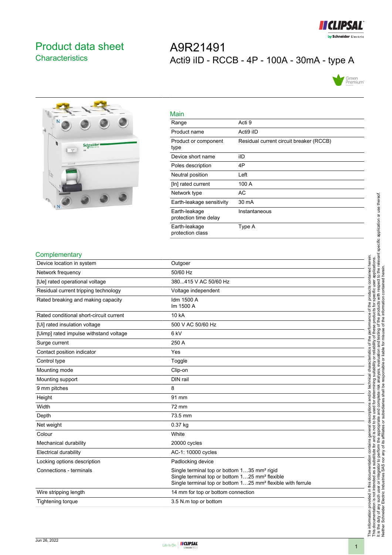

## <span id="page-0-0"></span>Product data sheet **Characteristics**

# A9R21491 Acti9 iID - RCCB - 4P - 100A - 30mA - type A





| Main                                   |                                         |
|----------------------------------------|-----------------------------------------|
| Range                                  | Acti 9                                  |
| Product name                           | Acti9 iID                               |
| Product or component<br>type           | Residual current circuit breaker (RCCB) |
| Device short name                      | iID                                     |
| Poles description                      | 4P                                      |
| Neutral position                       | Left                                    |
| [In] rated current                     | 100 A                                   |
| Network type                           | AC                                      |
| Earth-leakage sensitivity              | 30 mA                                   |
| Earth-leakage<br>protection time delay | Instantaneous                           |
| Earth-leakage<br>protection class      | Type A                                  |

#### **Complementary**

| י ייטויוטוויטושוויט                     |                                                                                                                                                                                                  |
|-----------------------------------------|--------------------------------------------------------------------------------------------------------------------------------------------------------------------------------------------------|
| Device location in system               | Outgoer                                                                                                                                                                                          |
| Network frequency                       | 50/60 Hz                                                                                                                                                                                         |
| [Ue] rated operational voltage          | 380415 V AC 50/60 Hz                                                                                                                                                                             |
| Residual current tripping technology    | Voltage independent                                                                                                                                                                              |
| Rated breaking and making capacity      | Idm 1500 A<br>Im 1500 A                                                                                                                                                                          |
| Rated conditional short-circuit current | 10 kA                                                                                                                                                                                            |
| [Ui] rated insulation voltage           | 500 V AC 50/60 Hz                                                                                                                                                                                |
| [Uimp] rated impulse withstand voltage  | 6 <sub>kV</sub>                                                                                                                                                                                  |
| Surge current                           | 250 A                                                                                                                                                                                            |
| Contact position indicator              | Yes                                                                                                                                                                                              |
| Control type                            | Toggle                                                                                                                                                                                           |
| Mounting mode                           | Clip-on                                                                                                                                                                                          |
| Mounting support                        | DIN rail                                                                                                                                                                                         |
| 9 mm pitches                            | 8                                                                                                                                                                                                |
| Height                                  | 91 mm                                                                                                                                                                                            |
| Width                                   | 72 mm                                                                                                                                                                                            |
| Depth                                   | 73.5 mm                                                                                                                                                                                          |
| Net weight                              | $0.37$ kg                                                                                                                                                                                        |
| Colour                                  | White                                                                                                                                                                                            |
| Mechanical durability                   | 20000 cycles                                                                                                                                                                                     |
| <b>Electrical durability</b>            | AC-1: 10000 cycles                                                                                                                                                                               |
| Locking options description             | Padlocking device                                                                                                                                                                                |
| Connections - terminals                 | Single terminal top or bottom 135 mm <sup>2</sup> rigid<br>Single terminal top or bottom 125 mm <sup>2</sup> flexible<br>Single terminal top or bottom 125 mm <sup>2</sup> flexible with ferrule |
| Wire stripping length                   | 14 mm for top or bottom connection                                                                                                                                                               |
| <b>Tightening torque</b>                | 3.5 N m top or bottom                                                                                                                                                                            |